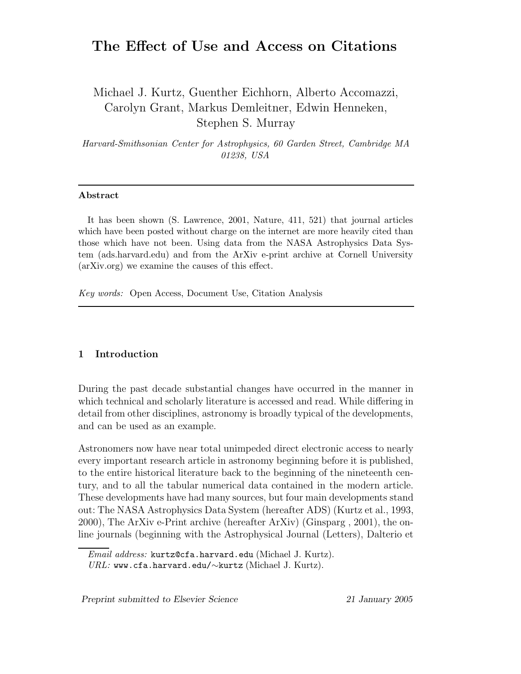# The Effect of Use and Access on Citations

Michael J. Kurtz, Guenther Eichhorn, Alberto Accomazzi, Carolyn Grant, Markus Demleitner, Edwin Henneken, Stephen S. Murray

Harvard-Smithsonian Center for Astrophysics, 60 Garden Street, Cambridge MA 01238, USA

## Abstract

It has been shown (S. Lawrence, 2001, Nature, 411, 521) that journal articles which have been posted without charge on the internet are more heavily cited than those which have not been. Using data from the NASA Astrophysics Data System (ads.harvard.edu) and from the ArXiv e-print archive at Cornell University (arXiv.org) we examine the causes of this effect.

Key words: Open Access, Document Use, Citation Analysis

#### 1 Introduction

During the past decade substantial changes have occurred in the manner in which technical and scholarly literature is accessed and read. While differing in detail from other disciplines, astronomy is broadly typical of the developments, and can be used as an example.

Astronomers now have near total unimpeded direct electronic access to nearly every important research article in astronomy beginning before it is published, to the entire historical literature back to the beginning of the nineteenth century, and to all the tabular numerical data contained in the modern article. These developments have had many sources, but four main developments stand out: The NASA Astrophysics Data System (hereafter ADS) (Kurtz et al., 1993, 2000), The ArXiv e-Print archive (hereafter ArXiv) (Ginsparg , 2001), the online journals (beginning with the Astrophysical Journal (Letters), Dalterio et

Preprint submitted to Elsevier Science 21 January 2005

 $Email \;address: \tt kurtz@cfa.harvard.edu \ (Michael \;J. \; Kurtz).$  $URL:$  www.cfa.harvard.edu/∼kurtz (Michael J. Kurtz).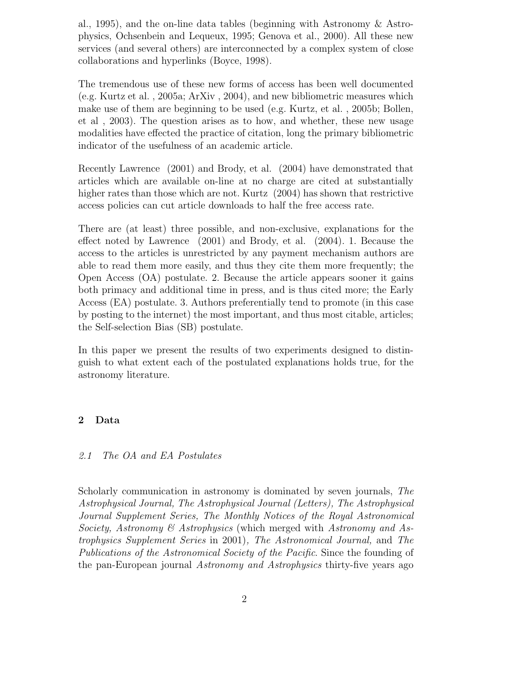al., 1995), and the on-line data tables (beginning with Astronomy & Astrophysics, Ochsenbein and Lequeux, 1995; Genova et al., 2000). All these new services (and several others) are interconnected by a complex system of close collaborations and hyperlinks (Boyce, 1998).

The tremendous use of these new forms of access has been well documented (e.g. Kurtz et al. , 2005a; ArXiv , 2004), and new bibliometric measures which make use of them are beginning to be used (e.g. Kurtz, et al. , 2005b; Bollen, et al , 2003). The question arises as to how, and whether, these new usage modalities have effected the practice of citation, long the primary bibliometric indicator of the usefulness of an academic article.

Recently Lawrence (2001) and Brody, et al. (2004) have demonstrated that articles which are available on-line at no charge are cited at substantially higher rates than those which are not. Kurtz (2004) has shown that restrictive access policies can cut article downloads to half the free access rate.

There are (at least) three possible, and non-exclusive, explanations for the effect noted by Lawrence (2001) and Brody, et al. (2004). 1. Because the access to the articles is unrestricted by any payment mechanism authors are able to read them more easily, and thus they cite them more frequently; the Open Access (OA) postulate. 2. Because the article appears sooner it gains both primacy and additional time in press, and is thus cited more; the Early Access (EA) postulate. 3. Authors preferentially tend to promote (in this case by posting to the internet) the most important, and thus most citable, articles; the Self-selection Bias (SB) postulate.

In this paper we present the results of two experiments designed to distinguish to what extent each of the postulated explanations holds true, for the astronomy literature.

## 2 Data

#### 2.1 The OA and EA Postulates

Scholarly communication in astronomy is dominated by seven journals, The Astrophysical Journal, The Astrophysical Journal (Letters), The Astrophysical Journal Supplement Series, The Monthly Notices of the Royal Astronomical Society, Astronomy & Astrophysics (which merged with Astronomy and Astrophysics Supplement Series in 2001), The Astronomical Journal, and The Publications of the Astronomical Society of the Pacific. Since the founding of the pan-European journal Astronomy and Astrophysics thirty-five years ago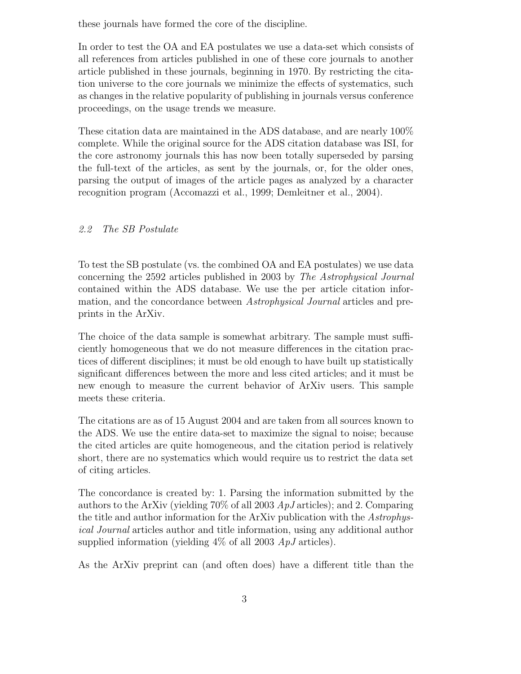these journals have formed the core of the discipline.

In order to test the OA and EA postulates we use a data-set which consists of all references from articles published in one of these core journals to another article published in these journals, beginning in 1970. By restricting the citation universe to the core journals we minimize the effects of systematics, such as changes in the relative popularity of publishing in journals versus conference proceedings, on the usage trends we measure.

These citation data are maintained in the ADS database, and are nearly 100% complete. While the original source for the ADS citation database was ISI, for the core astronomy journals this has now been totally superseded by parsing the full-text of the articles, as sent by the journals, or, for the older ones, parsing the output of images of the article pages as analyzed by a character recognition program (Accomazzi et al., 1999; Demleitner et al., 2004).

## 2.2 The SB Postulate

To test the SB postulate (vs. the combined OA and EA postulates) we use data concerning the 2592 articles published in 2003 by The Astrophysical Journal contained within the ADS database. We use the per article citation information, and the concordance between *Astrophysical Journal* articles and preprints in the ArXiv.

The choice of the data sample is somewhat arbitrary. The sample must sufficiently homogeneous that we do not measure differences in the citation practices of different disciplines; it must be old enough to have built up statistically significant differences between the more and less cited articles; and it must be new enough to measure the current behavior of ArXiv users. This sample meets these criteria.

The citations are as of 15 August 2004 and are taken from all sources known to the ADS. We use the entire data-set to maximize the signal to noise; because the cited articles are quite homogeneous, and the citation period is relatively short, there are no systematics which would require us to restrict the data set of citing articles.

The concordance is created by: 1. Parsing the information submitted by the authors to the ArXiv (yielding 70% of all 2003  $ApJ$  articles); and 2. Comparing the title and author information for the ArXiv publication with the Astrophysical Journal articles author and title information, using any additional author supplied information (yielding  $4\%$  of all 2003  $ApJ$  articles).

As the ArXiv preprint can (and often does) have a different title than the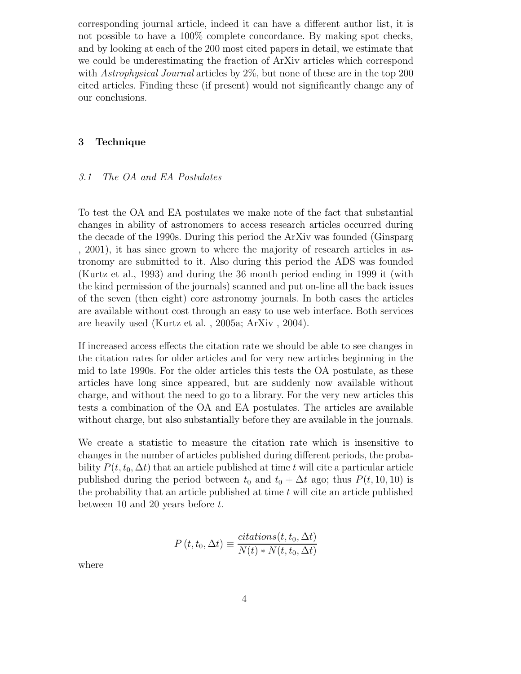corresponding journal article, indeed it can have a different author list, it is not possible to have a 100% complete concordance. By making spot checks, and by looking at each of the 200 most cited papers in detail, we estimate that we could be underestimating the fraction of ArXiv articles which correspond with Astrophysical Journal articles by 2%, but none of these are in the top 200 cited articles. Finding these (if present) would not significantly change any of our conclusions.

## 3 Technique

#### 3.1 The OA and EA Postulates

To test the OA and EA postulates we make note of the fact that substantial changes in ability of astronomers to access research articles occurred during the decade of the 1990s. During this period the ArXiv was founded (Ginsparg , 2001), it has since grown to where the majority of research articles in astronomy are submitted to it. Also during this period the ADS was founded (Kurtz et al., 1993) and during the 36 month period ending in 1999 it (with the kind permission of the journals) scanned and put on-line all the back issues of the seven (then eight) core astronomy journals. In both cases the articles are available without cost through an easy to use web interface. Both services are heavily used (Kurtz et al. , 2005a; ArXiv , 2004).

If increased access effects the citation rate we should be able to see changes in the citation rates for older articles and for very new articles beginning in the mid to late 1990s. For the older articles this tests the OA postulate, as these articles have long since appeared, but are suddenly now available without charge, and without the need to go to a library. For the very new articles this tests a combination of the OA and EA postulates. The articles are available without charge, but also substantially before they are available in the journals.

We create a statistic to measure the citation rate which is insensitive to changes in the number of articles published during different periods, the probability  $P(t, t_0, \Delta t)$  that an article published at time t will cite a particular article published during the period between  $t_0$  and  $t_0 + \Delta t$  ago; thus  $P(t, 10, 10)$  is the probability that an article published at time  $t$  will cite an article published between 10 and 20 years before t.

$$
P(t, t_0, \Delta t) \equiv \frac{citations(t, t_0, \Delta t)}{N(t) * N(t, t_0, \Delta t)}
$$

where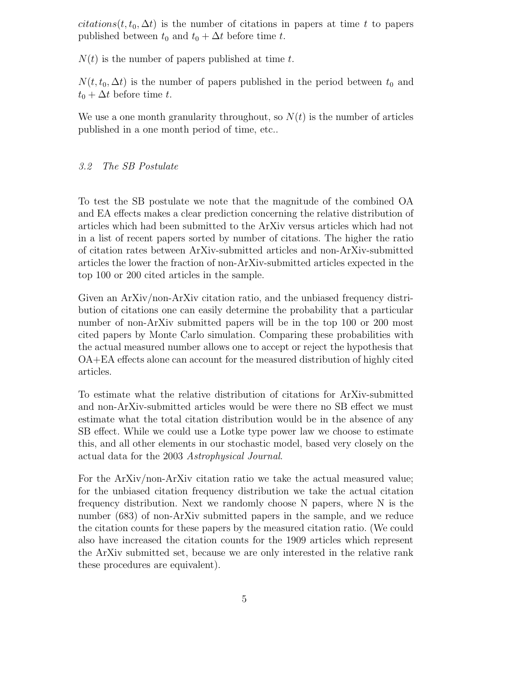citations(t,  $t_0, \Delta t$ ) is the number of citations in papers at time t to papers published between  $t_0$  and  $t_0 + \Delta t$  before time t.

 $N(t)$  is the number of papers published at time t.

 $N(t, t_0, \Delta t)$  is the number of papers published in the period between  $t_0$  and  $t_0 + \Delta t$  before time t.

We use a one month granularity throughout, so  $N(t)$  is the number of articles published in a one month period of time, etc..

## 3.2 The SB Postulate

To test the SB postulate we note that the magnitude of the combined OA and EA effects makes a clear prediction concerning the relative distribution of articles which had been submitted to the ArXiv versus articles which had not in a list of recent papers sorted by number of citations. The higher the ratio of citation rates between ArXiv-submitted articles and non-ArXiv-submitted articles the lower the fraction of non-ArXiv-submitted articles expected in the top 100 or 200 cited articles in the sample.

Given an ArXiv/non-ArXiv citation ratio, and the unbiased frequency distribution of citations one can easily determine the probability that a particular number of non-ArXiv submitted papers will be in the top 100 or 200 most cited papers by Monte Carlo simulation. Comparing these probabilities with the actual measured number allows one to accept or reject the hypothesis that OA+EA effects alone can account for the measured distribution of highly cited articles.

To estimate what the relative distribution of citations for ArXiv-submitted and non-ArXiv-submitted articles would be were there no SB effect we must estimate what the total citation distribution would be in the absence of any SB effect. While we could use a Lotke type power law we choose to estimate this, and all other elements in our stochastic model, based very closely on the actual data for the 2003 Astrophysical Journal.

For the ArXiv/non-ArXiv citation ratio we take the actual measured value; for the unbiased citation frequency distribution we take the actual citation frequency distribution. Next we randomly choose N papers, where N is the number (683) of non-ArXiv submitted papers in the sample, and we reduce the citation counts for these papers by the measured citation ratio. (We could also have increased the citation counts for the 1909 articles which represent the ArXiv submitted set, because we are only interested in the relative rank these procedures are equivalent).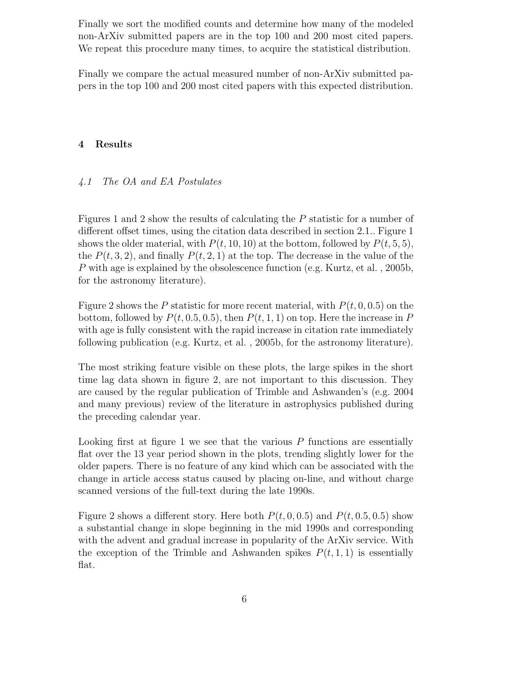Finally we sort the modified counts and determine how many of the modeled non-ArXiv submitted papers are in the top 100 and 200 most cited papers. We repeat this procedure many times, to acquire the statistical distribution.

Finally we compare the actual measured number of non-ArXiv submitted papers in the top 100 and 200 most cited papers with this expected distribution.

## 4 Results

## 4.1 The OA and EA Postulates

Figures 1 and 2 show the results of calculating the P statistic for a number of different offset times, using the citation data described in section 2.1.. Figure 1 shows the older material, with  $P(t, 10, 10)$  at the bottom, followed by  $P(t, 5, 5)$ , the  $P(t, 3, 2)$ , and finally  $P(t, 2, 1)$  at the top. The decrease in the value of the P with age is explained by the obsolescence function (e.g. Kurtz, et al. , 2005b, for the astronomy literature).

Figure 2 shows the P statistic for more recent material, with  $P(t, 0, 0.5)$  on the bottom, followed by  $P(t, 0.5, 0.5)$ , then  $P(t, 1, 1)$  on top. Here the increase in P with age is fully consistent with the rapid increase in citation rate immediately following publication (e.g. Kurtz, et al. , 2005b, for the astronomy literature).

The most striking feature visible on these plots, the large spikes in the short time lag data shown in figure 2, are not important to this discussion. They are caused by the regular publication of Trimble and Ashwanden's (e.g. 2004 and many previous) review of the literature in astrophysics published during the preceding calendar year.

Looking first at figure 1 we see that the various  $P$  functions are essentially flat over the 13 year period shown in the plots, trending slightly lower for the older papers. There is no feature of any kind which can be associated with the change in article access status caused by placing on-line, and without charge scanned versions of the full-text during the late 1990s.

Figure 2 shows a different story. Here both  $P(t, 0, 0.5)$  and  $P(t, 0.5, 0.5)$  show a substantial change in slope beginning in the mid 1990s and corresponding with the advent and gradual increase in popularity of the ArXiv service. With the exception of the Trimble and Ashwanden spikes  $P(t, 1, 1)$  is essentially flat.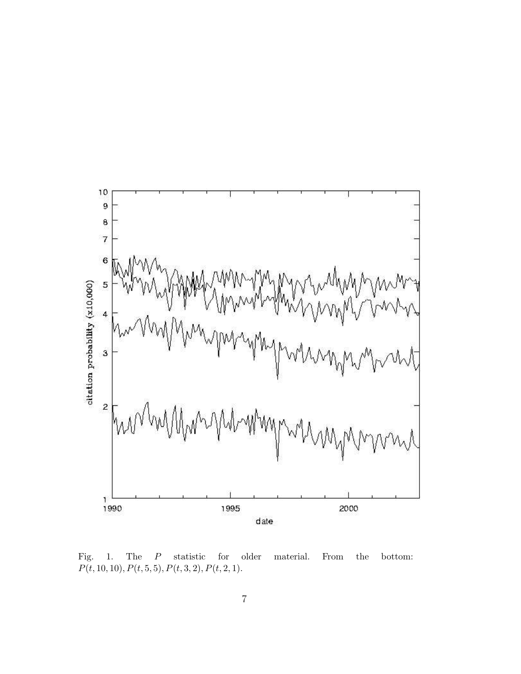

Fig. 1. The  $P$  statistic for older material. From the bottom:  $P(t, 10, 10), P(t, 5, 5), P(t, 3, 2), P(t, 2, 1).$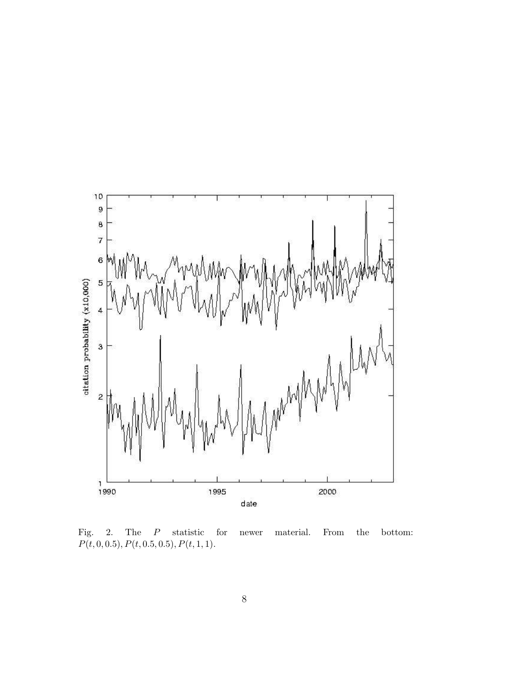

Fig. 2. The P statistic for newer material. From the bottom:  $P(t, 0, 0.5), P(t, 0.5, 0.5), P(t, 1, 1).$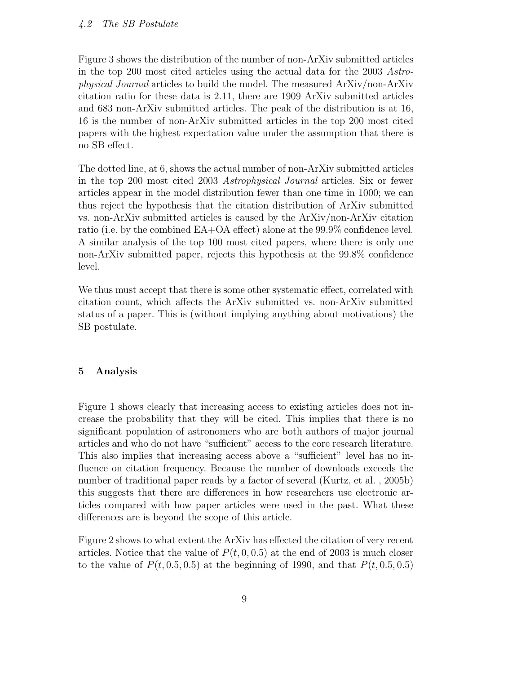Figure 3 shows the distribution of the number of non-ArXiv submitted articles in the top 200 most cited articles using the actual data for the 2003 Astrophysical Journal articles to build the model. The measured ArXiv/non-ArXiv citation ratio for these data is 2.11, there are 1909 ArXiv submitted articles and 683 non-ArXiv submitted articles. The peak of the distribution is at 16, 16 is the number of non-ArXiv submitted articles in the top 200 most cited papers with the highest expectation value under the assumption that there is no SB effect.

The dotted line, at 6, shows the actual number of non-ArXiv submitted articles in the top 200 most cited 2003 Astrophysical Journal articles. Six or fewer articles appear in the model distribution fewer than one time in 1000; we can thus reject the hypothesis that the citation distribution of ArXiv submitted vs. non-ArXiv submitted articles is caused by the ArXiv/non-ArXiv citation ratio (i.e. by the combined EA+OA effect) alone at the 99.9% confidence level. A similar analysis of the top 100 most cited papers, where there is only one non-ArXiv submitted paper, rejects this hypothesis at the 99.8% confidence level.

We thus must accept that there is some other systematic effect, correlated with citation count, which affects the ArXiv submitted vs. non-ArXiv submitted status of a paper. This is (without implying anything about motivations) the SB postulate.

#### 5 Analysis

Figure 1 shows clearly that increasing access to existing articles does not increase the probability that they will be cited. This implies that there is no significant population of astronomers who are both authors of major journal articles and who do not have "sufficient" access to the core research literature. This also implies that increasing access above a "sufficient" level has no influence on citation frequency. Because the number of downloads exceeds the number of traditional paper reads by a factor of several (Kurtz, et al. , 2005b) this suggests that there are differences in how researchers use electronic articles compared with how paper articles were used in the past. What these differences are is beyond the scope of this article.

Figure 2 shows to what extent the ArXiv has effected the citation of very recent articles. Notice that the value of  $P(t, 0, 0.5)$  at the end of 2003 is much closer to the value of  $P(t, 0.5, 0.5)$  at the beginning of 1990, and that  $P(t, 0.5, 0.5)$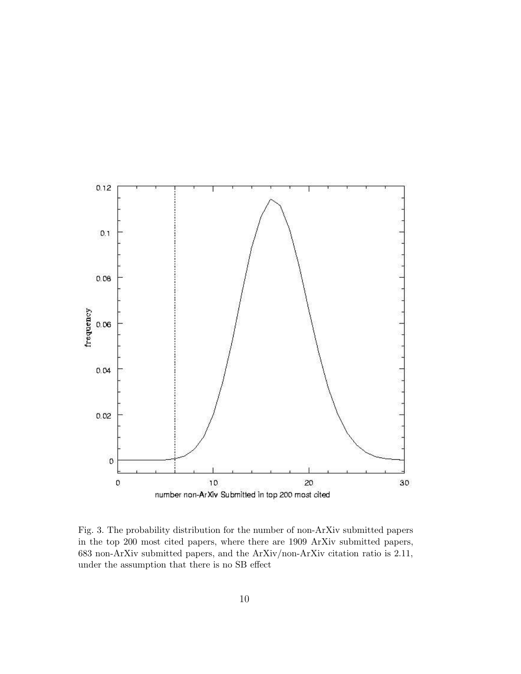

Fig. 3. The probability distribution for the number of non-ArXiv submitted papers in the top 200 most cited papers, where there are 1909 ArXiv submitted papers, 683 non-ArXiv submitted papers, and the ArXiv/non-ArXiv citation ratio is 2.11, under the assumption that there is no SB effect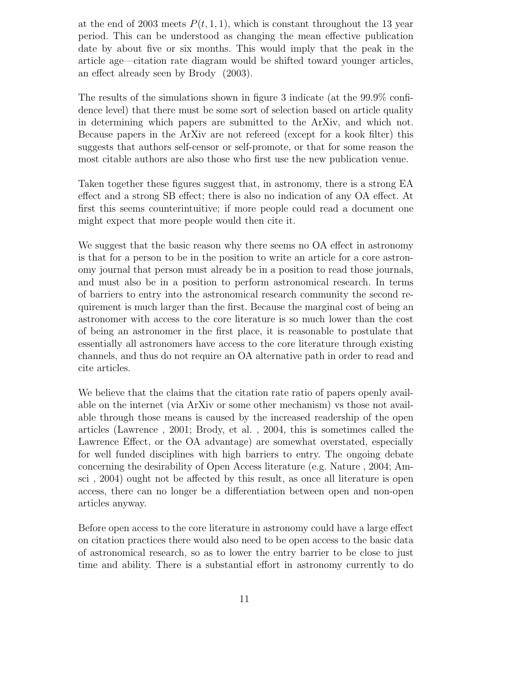at the end of 2003 meets  $P(t, 1, 1)$ , which is constant throughout the 13 year period. This can be understood as changing the mean effective publication date by about five or six months. This would imply that the peak in the article age—citation rate diagram would be shifted toward younger articles, an effect already seen by Brody (2003).

The results of the simulations shown in figure 3 indicate (at the 99.9% confidence level) that there must be some sort of selection based on article quality in determining which papers are submitted to the ArXiv, and which not. Because papers in the ArXiv are not refereed (except for a kook filter) this suggests that authors self-censor or self-promote, or that for some reason the most citable authors are also those who first use the new publication venue.

Taken together these figures suggest that, in astronomy, there is a strong EA effect and a strong SB effect; there is also no indication of any OA effect. At first this seems counterintuitive; if more people could read a document one might expect that more people would then cite it.

We suggest that the basic reason why there seems no OA effect in astronomy is that for a person to be in the position to write an article for a core astronomy journal that person must already be in a position to read those journals, and must also be in a position to perform astronomical research. In terms of barriers to entry into the astronomical research community the second requirement is much larger than the first. Because the marginal cost of being an astronomer with access to the core literature is so much lower than the cost of being an astronomer in the first place, it is reasonable to postulate that essentially all astronomers have access to the core literature through existing channels, and thus do not require an OA alternative path in order to read and cite articles.

We believe that the claims that the citation rate ratio of papers openly available on the internet (via ArXiv or some other mechanism) vs those not available through those means is caused by the increased readership of the open articles (Lawrence , 2001; Brody, et al. , 2004, this is sometimes called the Lawrence Effect, or the OA advantage) are somewhat overstated, especially for well funded disciplines with high barriers to entry. The ongoing debate concerning the desirability of Open Access literature (e.g. Nature , 2004; Amsci , 2004) ought not be affected by this result, as once all literature is open access, there can no longer be a differentiation between open and non-open articles anyway.

Before open access to the core literature in astronomy could have a large effect on citation practices there would also need to be open access to the basic data of astronomical research, so as to lower the entry barrier to be close to just time and ability. There is a substantial effort in astronomy currently to do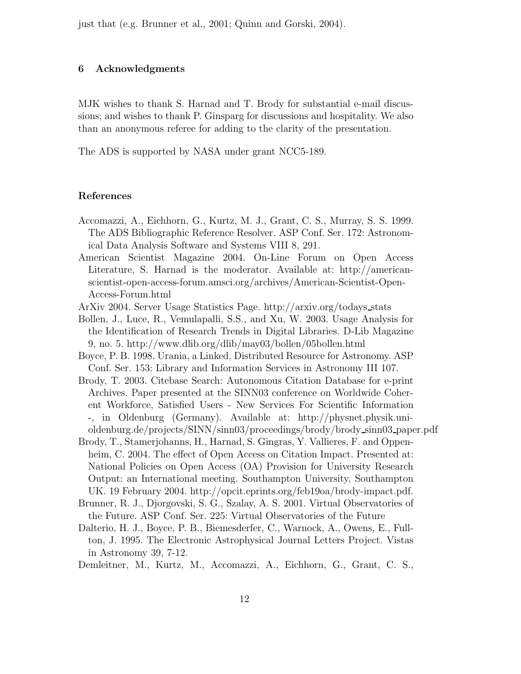just that (e.g. Brunner et al., 2001; Quinn and Gorski, 2004).

## 6 Acknowledgments

MJK wishes to thank S. Harnad and T. Brody for substantial e-mail discussions; and wishes to thank P. Ginsparg for discussions and hospitality. We also than an anonymous referee for adding to the clarity of the presentation.

The ADS is supported by NASA under grant NCC5-189.

#### References

- Accomazzi, A., Eichhorn, G., Kurtz, M. J., Grant, C. S., Murray, S. S. 1999. The ADS Bibliographic Reference Resolver. ASP Conf. Ser. 172: Astronomical Data Analysis Software and Systems VIII 8, 291.
- American Scientist Magazine 2004. On-Line Forum on Open Access Literature, S. Harnad is the moderator. Available at: http://americanscientist-open-access-forum.amsci.org/archives/American-Scientist-Open-Access-Forum.html
- ArXiv 2004. Server Usage Statistics Page. http://arxiv.org/todays stats
- Bollen, J., Luce, R., Vemulapalli, S.S., and Xu, W. 2003. Usage Analysis for the Identification of Research Trends in Digital Libraries. D-Lib Magazine 9, no. 5. http://www.dlib.org/dlib/may03/bollen/05bollen.html
- Boyce, P. B. 1998. Urania, a Linked, Distributed Resource for Astronomy. ASP Conf. Ser. 153: Library and Information Services in Astronomy III 107.
- Brody, T. 2003. Citebase Search: Autonomous Citation Database for e-print Archives. Paper presented at the SINN03 conference on Worldwide Coherent Workforce, Satisfied Users - New Services For Scientific Information -, in Oldenburg (Germany). Available at: http://physnet.physik.unioldenburg.de/projects/SINN/sinn03/proceedings/brody/brody sinn03 paper.pdf
- Brody, T., Stamerjohanns, H., Harnad, S. Gingras, Y. Vallieres, F. and Oppenheim, C. 2004. The effect of Open Access on Citation Impact. Presented at: National Policies on Open Access (OA) Provision for University Research Output: an International meeting. Southampton University, Southampton UK. 19 February 2004. http://opcit.eprints.org/feb19oa/brody-impact.pdf.
- Brunner, R. J., Djorgovski, S. G., Szalay, A. S. 2001. Virtual Observatories of the Future. ASP Conf. Ser. 225: Virtual Observatories of the Future
- Dalterio, H. J., Boyce, P. B., Biemesderfer, C., Warnock, A., Owens, E., Fullton, J. 1995. The Electronic Astrophysical Journal Letters Project. Vistas in Astronomy 39, 7-12.

Demleitner, M., Kurtz, M., Accomazzi, A., Eichhorn, G., Grant, C. S.,